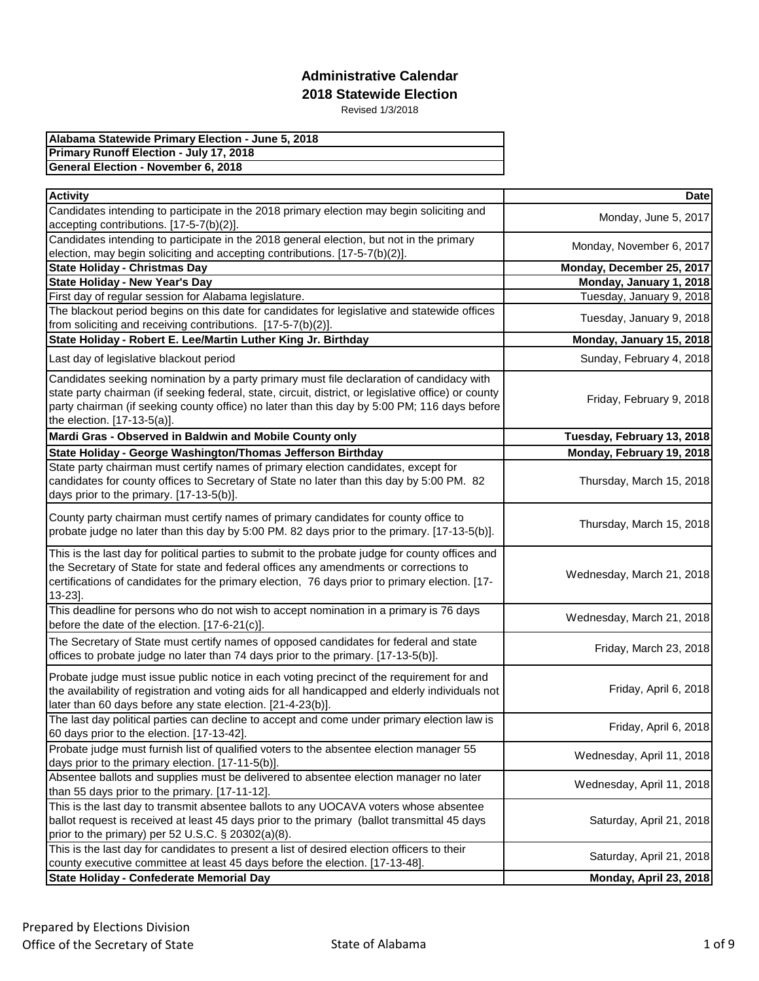| Alabama Statewide Primary Election - June 5, 2018 |
|---------------------------------------------------|
| <b>Primary Runoff Election - July 17, 2018</b>    |
| <b>General Election - November 6, 2018</b>        |

| <b>Activity</b>                                                                                                                                                                                                                                                                                        | <b>Date</b>                |
|--------------------------------------------------------------------------------------------------------------------------------------------------------------------------------------------------------------------------------------------------------------------------------------------------------|----------------------------|
| Candidates intending to participate in the 2018 primary election may begin soliciting and                                                                                                                                                                                                              | Monday, June 5, 2017       |
| accepting contributions. [17-5-7(b)(2)].                                                                                                                                                                                                                                                               |                            |
| Candidates intending to participate in the 2018 general election, but not in the primary                                                                                                                                                                                                               | Monday, November 6, 2017   |
| election, may begin soliciting and accepting contributions. [17-5-7(b)(2)].                                                                                                                                                                                                                            |                            |
| <b>State Holiday - Christmas Day</b>                                                                                                                                                                                                                                                                   | Monday, December 25, 2017  |
| <b>State Holiday - New Year's Day</b>                                                                                                                                                                                                                                                                  | Monday, January 1, 2018    |
| First day of regular session for Alabama legislature.                                                                                                                                                                                                                                                  | Tuesday, January 9, 2018   |
| The blackout period begins on this date for candidates for legislative and statewide offices<br>from soliciting and receiving contributions. [17-5-7(b)(2)].                                                                                                                                           | Tuesday, January 9, 2018   |
| State Holiday - Robert E. Lee/Martin Luther King Jr. Birthday                                                                                                                                                                                                                                          |                            |
|                                                                                                                                                                                                                                                                                                        | Monday, January 15, 2018   |
| Last day of legislative blackout period                                                                                                                                                                                                                                                                | Sunday, February 4, 2018   |
| Candidates seeking nomination by a party primary must file declaration of candidacy with<br>state party chairman (if seeking federal, state, circuit, district, or legislative office) or county<br>party chairman (if seeking county office) no later than this day by 5:00 PM; 116 days before       | Friday, February 9, 2018   |
| the election. [17-13-5(a)].                                                                                                                                                                                                                                                                            |                            |
| Mardi Gras - Observed in Baldwin and Mobile County only                                                                                                                                                                                                                                                | Tuesday, February 13, 2018 |
| State Holiday - George Washington/Thomas Jefferson Birthday                                                                                                                                                                                                                                            | Monday, February 19, 2018  |
| State party chairman must certify names of primary election candidates, except for<br>candidates for county offices to Secretary of State no later than this day by 5:00 PM. 82<br>days prior to the primary. [17-13-5(b)].                                                                            | Thursday, March 15, 2018   |
| County party chairman must certify names of primary candidates for county office to<br>probate judge no later than this day by 5:00 PM. 82 days prior to the primary. [17-13-5(b)].                                                                                                                    | Thursday, March 15, 2018   |
| This is the last day for political parties to submit to the probate judge for county offices and<br>the Secretary of State for state and federal offices any amendments or corrections to<br>certifications of candidates for the primary election, 76 days prior to primary election. [17-<br>13-23]. | Wednesday, March 21, 2018  |
| This deadline for persons who do not wish to accept nomination in a primary is 76 days<br>before the date of the election. [17-6-21(c)].                                                                                                                                                               | Wednesday, March 21, 2018  |
| The Secretary of State must certify names of opposed candidates for federal and state<br>offices to probate judge no later than 74 days prior to the primary. [17-13-5(b)].                                                                                                                            | Friday, March 23, 2018     |
| Probate judge must issue public notice in each voting precinct of the requirement for and<br>the availability of registration and voting aids for all handicapped and elderly individuals not<br>later than 60 days before any state election. [21-4-23(b)].                                           | Friday, April 6, 2018      |
| The last day political parties can decline to accept and come under primary election law is<br>60 days prior to the election. [17-13-42].                                                                                                                                                              | Friday, April 6, 2018      |
| Probate judge must furnish list of qualified voters to the absentee election manager 55<br>days prior to the primary election. [17-11-5(b)].                                                                                                                                                           | Wednesday, April 11, 2018  |
| Absentee ballots and supplies must be delivered to absentee election manager no later<br>than 55 days prior to the primary. [17-11-12].                                                                                                                                                                | Wednesday, April 11, 2018  |
| This is the last day to transmit absentee ballots to any UOCAVA voters whose absentee<br>ballot request is received at least 45 days prior to the primary (ballot transmittal 45 days<br>prior to the primary) per 52 U.S.C. § 20302(a)(8).                                                            | Saturday, April 21, 2018   |
| This is the last day for candidates to present a list of desired election officers to their<br>county executive committee at least 45 days before the election. [17-13-48].                                                                                                                            | Saturday, April 21, 2018   |
| State Holiday - Confederate Memorial Day                                                                                                                                                                                                                                                               | Monday, April 23, 2018     |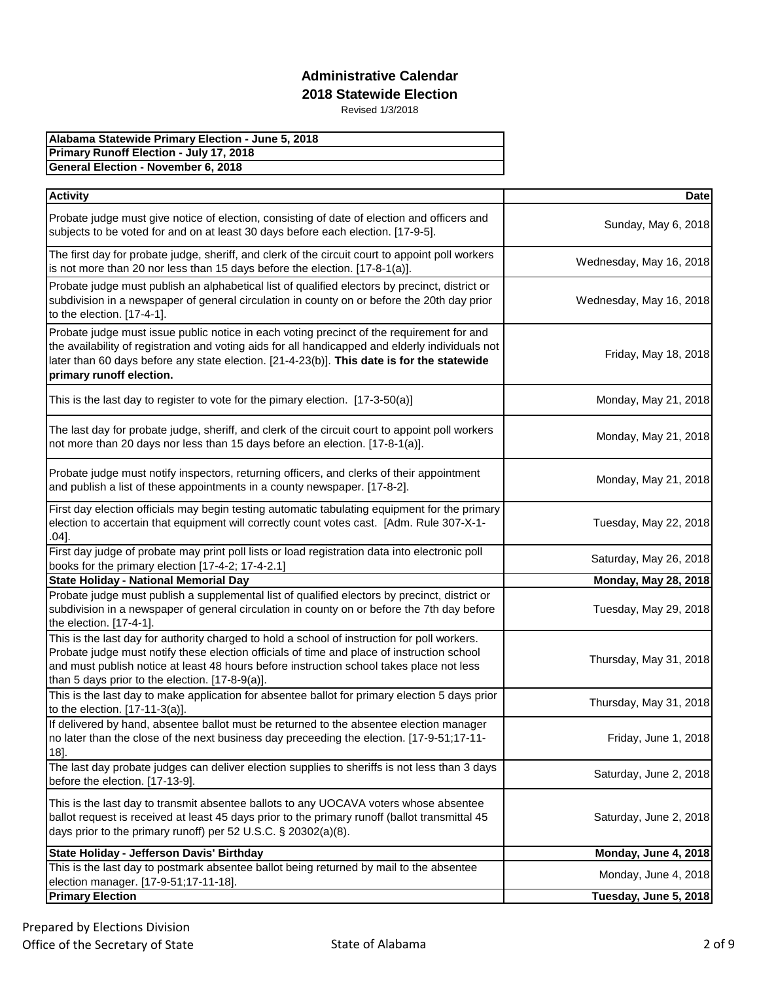| Alabama Statewide Primary Election - June 5, 2018 |
|---------------------------------------------------|
| <b>Primary Runoff Election - July 17, 2018</b>    |
| <b>General Election - November 6, 2018</b>        |

| <b>Activity</b>                                                                                                                                                                                                                                                                                                                           | <b>Date</b>                 |
|-------------------------------------------------------------------------------------------------------------------------------------------------------------------------------------------------------------------------------------------------------------------------------------------------------------------------------------------|-----------------------------|
| Probate judge must give notice of election, consisting of date of election and officers and<br>subjects to be voted for and on at least 30 days before each election. [17-9-5].                                                                                                                                                           | Sunday, May 6, 2018         |
| The first day for probate judge, sheriff, and clerk of the circuit court to appoint poll workers<br>is not more than 20 nor less than 15 days before the election. [17-8-1(a)].                                                                                                                                                           | Wednesday, May 16, 2018     |
| Probate judge must publish an alphabetical list of qualified electors by precinct, district or<br>subdivision in a newspaper of general circulation in county on or before the 20th day prior<br>to the election. [17-4-1].                                                                                                               | Wednesday, May 16, 2018     |
| Probate judge must issue public notice in each voting precinct of the requirement for and<br>the availability of registration and voting aids for all handicapped and elderly individuals not<br>later than 60 days before any state election. [21-4-23(b)]. This date is for the statewide<br>primary runoff election.                   | Friday, May 18, 2018        |
| This is the last day to register to vote for the pimary election. $[17-3-50(a)]$                                                                                                                                                                                                                                                          | Monday, May 21, 2018        |
| The last day for probate judge, sheriff, and clerk of the circuit court to appoint poll workers<br>not more than 20 days nor less than 15 days before an election. [17-8-1(a)].                                                                                                                                                           | Monday, May 21, 2018        |
| Probate judge must notify inspectors, returning officers, and clerks of their appointment<br>and publish a list of these appointments in a county newspaper. [17-8-2].                                                                                                                                                                    | Monday, May 21, 2018        |
| First day election officials may begin testing automatic tabulating equipment for the primary<br>election to accertain that equipment will correctly count votes cast. [Adm. Rule 307-X-1-<br>$.04]$ .                                                                                                                                    | Tuesday, May 22, 2018       |
| First day judge of probate may print poll lists or load registration data into electronic poll<br>books for the primary election [17-4-2; 17-4-2.1]                                                                                                                                                                                       | Saturday, May 26, 2018      |
| <b>State Holiday - National Memorial Day</b>                                                                                                                                                                                                                                                                                              | <b>Monday, May 28, 2018</b> |
| Probate judge must publish a supplemental list of qualified electors by precinct, district or<br>subdivision in a newspaper of general circulation in county on or before the 7th day before<br>the election. [17-4-1].                                                                                                                   | Tuesday, May 29, 2018       |
| This is the last day for authority charged to hold a school of instruction for poll workers.<br>Probate judge must notify these election officials of time and place of instruction school<br>and must publish notice at least 48 hours before instruction school takes place not less<br>than 5 days prior to the election. [17-8-9(a)]. | Thursday, May 31, 2018      |
| This is the last day to make application for absentee ballot for primary election 5 days prior<br>to the election. [17-11-3(a)].                                                                                                                                                                                                          | Thursday, May 31, 2018      |
| If delivered by hand, absentee ballot must be returned to the absentee election manager<br>no later than the close of the next business day preceeding the election. [17-9-51;17-11-<br>$18$ ].                                                                                                                                           | Friday, June 1, 2018        |
| The last day probate judges can deliver election supplies to sheriffs is not less than 3 days<br>before the election. [17-13-9].                                                                                                                                                                                                          | Saturday, June 2, 2018      |
| This is the last day to transmit absentee ballots to any UOCAVA voters whose absentee<br>ballot request is received at least 45 days prior to the primary runoff (ballot transmittal 45<br>days prior to the primary runoff) per 52 U.S.C. § 20302(a)(8).                                                                                 | Saturday, June 2, 2018      |
| State Holiday - Jefferson Davis' Birthday                                                                                                                                                                                                                                                                                                 | Monday, June 4, 2018        |
| This is the last day to postmark absentee ballot being returned by mail to the absentee<br>election manager. [17-9-51;17-11-18].                                                                                                                                                                                                          | Monday, June 4, 2018        |
| <b>Primary Election</b>                                                                                                                                                                                                                                                                                                                   | Tuesday, June 5, 2018       |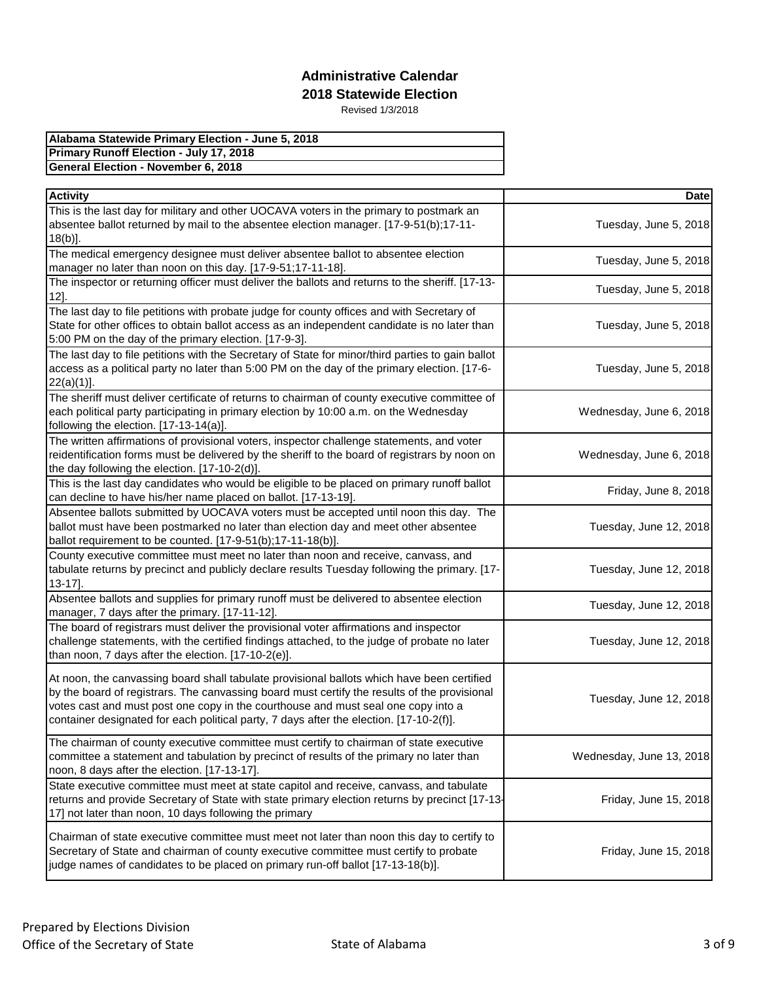| Alabama Statewide Primary Election - June 5, 2018 |
|---------------------------------------------------|
| Primary Runoff Election - July 17, 2018           |
| General Election - November 6, 2018               |

| <b>Activity</b>                                                                                                                                                                                                                                                                                                                                                            | <b>Date</b>              |
|----------------------------------------------------------------------------------------------------------------------------------------------------------------------------------------------------------------------------------------------------------------------------------------------------------------------------------------------------------------------------|--------------------------|
| This is the last day for military and other UOCAVA voters in the primary to postmark an<br>absentee ballot returned by mail to the absentee election manager. [17-9-51(b);17-11-                                                                                                                                                                                           | Tuesday, June 5, 2018    |
| $18(b)$ ].<br>The medical emergency designee must deliver absentee ballot to absentee election                                                                                                                                                                                                                                                                             | Tuesday, June 5, 2018    |
| manager no later than noon on this day. [17-9-51;17-11-18].                                                                                                                                                                                                                                                                                                                |                          |
| The inspector or returning officer must deliver the ballots and returns to the sheriff. [17-13-<br>$12$ ].                                                                                                                                                                                                                                                                 | Tuesday, June 5, 2018    |
| The last day to file petitions with probate judge for county offices and with Secretary of<br>State for other offices to obtain ballot access as an independent candidate is no later than<br>5:00 PM on the day of the primary election. [17-9-3].                                                                                                                        | Tuesday, June 5, 2018    |
| The last day to file petitions with the Secretary of State for minor/third parties to gain ballot<br>access as a political party no later than 5:00 PM on the day of the primary election. [17-6-<br>$22(a)(1)$ ].                                                                                                                                                         | Tuesday, June 5, 2018    |
| The sheriff must deliver certificate of returns to chairman of county executive committee of<br>each political party participating in primary election by 10:00 a.m. on the Wednesday<br>following the election. [17-13-14(a)].                                                                                                                                            | Wednesday, June 6, 2018  |
| The written affirmations of provisional voters, inspector challenge statements, and voter<br>reidentification forms must be delivered by the sheriff to the board of registrars by noon on<br>the day following the election. [17-10-2(d)].                                                                                                                                | Wednesday, June 6, 2018  |
| This is the last day candidates who would be eligible to be placed on primary runoff ballot<br>can decline to have his/her name placed on ballot. [17-13-19].                                                                                                                                                                                                              | Friday, June 8, 2018     |
| Absentee ballots submitted by UOCAVA voters must be accepted until noon this day. The<br>ballot must have been postmarked no later than election day and meet other absentee<br>ballot requirement to be counted. [17-9-51(b);17-11-18(b)].                                                                                                                                | Tuesday, June 12, 2018   |
| County executive committee must meet no later than noon and receive, canvass, and<br>tabulate returns by precinct and publicly declare results Tuesday following the primary. [17-<br>$13-17$ ].                                                                                                                                                                           | Tuesday, June 12, 2018   |
| Absentee ballots and supplies for primary runoff must be delivered to absentee election<br>manager, 7 days after the primary. [17-11-12].                                                                                                                                                                                                                                  | Tuesday, June 12, 2018   |
| The board of registrars must deliver the provisional voter affirmations and inspector<br>challenge statements, with the certified findings attached, to the judge of probate no later<br>than noon, 7 days after the election. [17-10-2(e)].                                                                                                                               | Tuesday, June 12, 2018   |
| At noon, the canvassing board shall tabulate provisional ballots which have been certified<br>by the board of registrars. The canvassing board must certify the results of the provisional<br>votes cast and must post one copy in the courthouse and must seal one copy into a<br>container designated for each political party, 7 days after the election. [17-10-2(f)]. | Tuesday, June 12, 2018   |
| The chairman of county executive committee must certify to chairman of state executive<br>committee a statement and tabulation by precinct of results of the primary no later than<br>noon, 8 days after the election. [17-13-17].                                                                                                                                         | Wednesday, June 13, 2018 |
| State executive committee must meet at state capitol and receive, canvass, and tabulate<br>returns and provide Secretary of State with state primary election returns by precinct [17-13-<br>17] not later than noon, 10 days following the primary                                                                                                                        | Friday, June 15, 2018    |
| Chairman of state executive committee must meet not later than noon this day to certify to<br>Secretary of State and chairman of county executive committee must certify to probate<br>judge names of candidates to be placed on primary run-off ballot [17-13-18(b)].                                                                                                     | Friday, June 15, 2018    |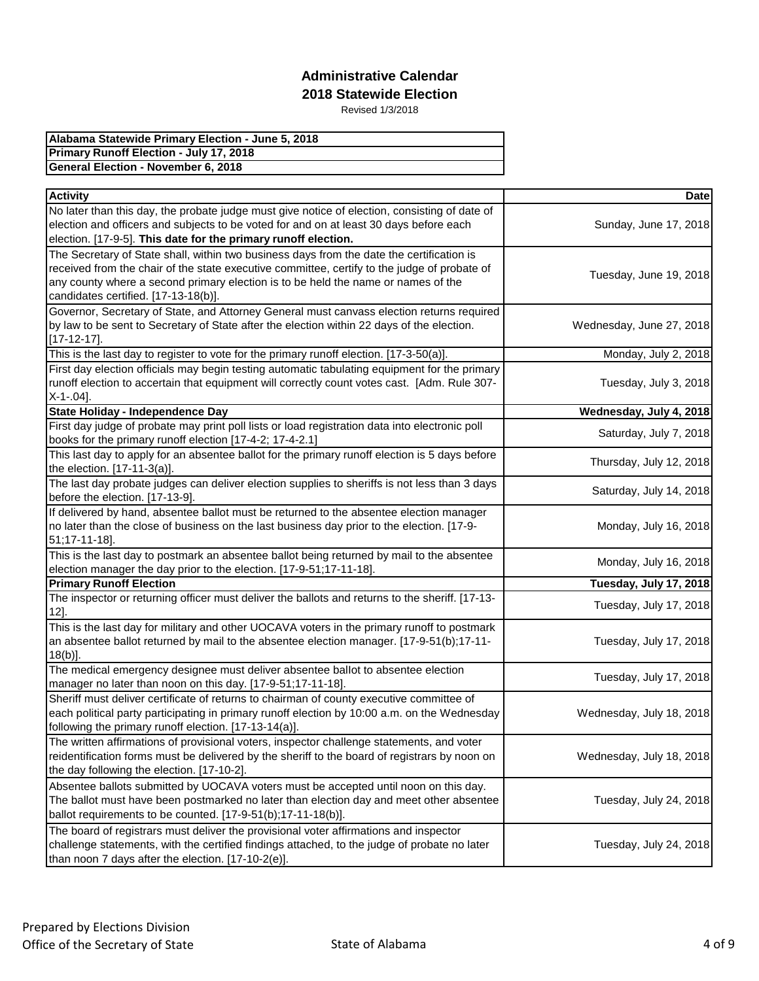| Alabama Statewide Primary Election - June 5, 2018 |
|---------------------------------------------------|
| <b>Primary Runoff Election - July 17, 2018</b>    |
| General Election - November 6, 2018               |

| <b>Activity</b>                                                                                                                                            | <b>Date</b>              |
|------------------------------------------------------------------------------------------------------------------------------------------------------------|--------------------------|
| No later than this day, the probate judge must give notice of election, consisting of date of                                                              |                          |
| election and officers and subjects to be voted for and on at least 30 days before each                                                                     | Sunday, June 17, 2018    |
| election. [17-9-5]. This date for the primary runoff election.                                                                                             |                          |
| The Secretary of State shall, within two business days from the date the certification is                                                                  |                          |
| received from the chair of the state executive committee, certify to the judge of probate of                                                               | Tuesday, June 19, 2018   |
| any county where a second primary election is to be held the name or names of the                                                                          |                          |
| candidates certified. [17-13-18(b)].                                                                                                                       |                          |
| Governor, Secretary of State, and Attorney General must canvass election returns required                                                                  |                          |
| by law to be sent to Secretary of State after the election within 22 days of the election.                                                                 | Wednesday, June 27, 2018 |
| $[17 - 12 - 17]$ .                                                                                                                                         |                          |
| This is the last day to register to vote for the primary runoff election. [17-3-50(a)].                                                                    | Monday, July 2, 2018     |
| First day election officials may begin testing automatic tabulating equipment for the primary                                                              |                          |
| runoff election to accertain that equipment will correctly count votes cast. [Adm. Rule 307-                                                               | Tuesday, July 3, 2018    |
| $X-1-04$ ].                                                                                                                                                |                          |
| State Holiday - Independence Day                                                                                                                           | Wednesday, July 4, 2018  |
| First day judge of probate may print poll lists or load registration data into electronic poll<br>books for the primary runoff election [17-4-2; 17-4-2.1] | Saturday, July 7, 2018   |
| This last day to apply for an absentee ballot for the primary runoff election is 5 days before<br>the election. [17-11-3(a)].                              | Thursday, July 12, 2018  |
| The last day probate judges can deliver election supplies to sheriffs is not less than 3 days                                                              |                          |
| before the election. [17-13-9].                                                                                                                            | Saturday, July 14, 2018  |
| If delivered by hand, absentee ballot must be returned to the absentee election manager                                                                    |                          |
| no later than the close of business on the last business day prior to the election. [17-9-                                                                 | Monday, July 16, 2018    |
| 51;17-11-18].                                                                                                                                              |                          |
| This is the last day to postmark an absentee ballot being returned by mail to the absentee                                                                 | Monday, July 16, 2018    |
| election manager the day prior to the election. [17-9-51;17-11-18].                                                                                        |                          |
| <b>Primary Runoff Election</b>                                                                                                                             | Tuesday, July 17, 2018   |
| The inspector or returning officer must deliver the ballots and returns to the sheriff. [17-13-<br>12].                                                    | Tuesday, July 17, 2018   |
| This is the last day for military and other UOCAVA voters in the primary runoff to postmark                                                                |                          |
| an absentee ballot returned by mail to the absentee election manager. [17-9-51(b);17-11-                                                                   | Tuesday, July 17, 2018   |
| $18(b)$ ].                                                                                                                                                 |                          |
| The medical emergency designee must deliver absentee ballot to absentee election                                                                           | Tuesday, July 17, 2018   |
| manager no later than noon on this day. [17-9-51;17-11-18].                                                                                                |                          |
| Sheriff must deliver certificate of returns to chairman of county executive committee of                                                                   |                          |
| each political party participating in primary runoff election by 10:00 a.m. on the Wednesday                                                               | Wednesday, July 18, 2018 |
| following the primary runoff election. [17-13-14(a)].                                                                                                      |                          |
| The written affirmations of provisional voters, inspector challenge statements, and voter                                                                  |                          |
| reidentification forms must be delivered by the sheriff to the board of registrars by noon on                                                              | Wednesday, July 18, 2018 |
| the day following the election. [17-10-2].                                                                                                                 |                          |
| Absentee ballots submitted by UOCAVA voters must be accepted until noon on this day.                                                                       |                          |
| The ballot must have been postmarked no later than election day and meet other absentee                                                                    | Tuesday, July 24, 2018   |
| ballot requirements to be counted. [17-9-51(b);17-11-18(b)].                                                                                               |                          |
| The board of registrars must deliver the provisional voter affirmations and inspector                                                                      | Tuesday, July 24, 2018   |
| challenge statements, with the certified findings attached, to the judge of probate no later<br>than noon 7 days after the election. [17-10-2(e)].         |                          |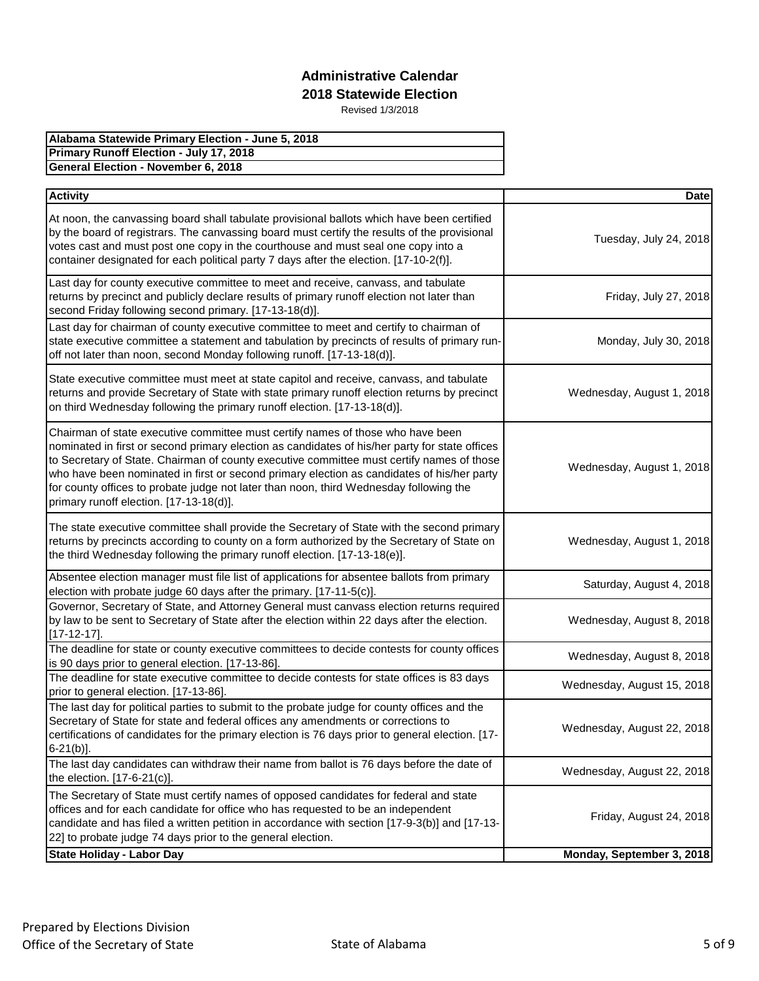| Alabama Statewide Primary Election - June 5, 2018 |
|---------------------------------------------------|
| Primary Runoff Election - July 17, 2018           |
| <b>General Election - November 6, 2018</b>        |

| <b>Activity</b>                                                                                                                                                                                                                                                                                                                                                                                                                                                                                                   | <b>Date</b>                |
|-------------------------------------------------------------------------------------------------------------------------------------------------------------------------------------------------------------------------------------------------------------------------------------------------------------------------------------------------------------------------------------------------------------------------------------------------------------------------------------------------------------------|----------------------------|
| At noon, the canvassing board shall tabulate provisional ballots which have been certified<br>by the board of registrars. The canvassing board must certify the results of the provisional<br>votes cast and must post one copy in the courthouse and must seal one copy into a<br>container designated for each political party 7 days after the election. [17-10-2(f)].                                                                                                                                         | Tuesday, July 24, 2018     |
| Last day for county executive committee to meet and receive, canvass, and tabulate<br>returns by precinct and publicly declare results of primary runoff election not later than<br>second Friday following second primary. [17-13-18(d)].                                                                                                                                                                                                                                                                        | Friday, July 27, 2018      |
| Last day for chairman of county executive committee to meet and certify to chairman of<br>state executive committee a statement and tabulation by precincts of results of primary run-<br>off not later than noon, second Monday following runoff. [17-13-18(d)].                                                                                                                                                                                                                                                 | Monday, July 30, 2018      |
| State executive committee must meet at state capitol and receive, canvass, and tabulate<br>returns and provide Secretary of State with state primary runoff election returns by precinct<br>on third Wednesday following the primary runoff election. [17-13-18(d)].                                                                                                                                                                                                                                              | Wednesday, August 1, 2018  |
| Chairman of state executive committee must certify names of those who have been<br>nominated in first or second primary election as candidates of his/her party for state offices<br>to Secretary of State. Chairman of county executive committee must certify names of those<br>who have been nominated in first or second primary election as candidates of his/her party<br>for county offices to probate judge not later than noon, third Wednesday following the<br>primary runoff election. [17-13-18(d)]. | Wednesday, August 1, 2018  |
| The state executive committee shall provide the Secretary of State with the second primary<br>returns by precincts according to county on a form authorized by the Secretary of State on<br>the third Wednesday following the primary runoff election. [17-13-18(e)].                                                                                                                                                                                                                                             | Wednesday, August 1, 2018  |
| Absentee election manager must file list of applications for absentee ballots from primary<br>election with probate judge 60 days after the primary. [17-11-5(c)].                                                                                                                                                                                                                                                                                                                                                | Saturday, August 4, 2018   |
| Governor, Secretary of State, and Attorney General must canvass election returns required<br>by law to be sent to Secretary of State after the election within 22 days after the election.<br>$[17-12-17]$ .                                                                                                                                                                                                                                                                                                      | Wednesday, August 8, 2018  |
| The deadline for state or county executive committees to decide contests for county offices<br>is 90 days prior to general election. [17-13-86].                                                                                                                                                                                                                                                                                                                                                                  | Wednesday, August 8, 2018  |
| The deadline for state executive committee to decide contests for state offices is 83 days<br>prior to general election. [17-13-86].                                                                                                                                                                                                                                                                                                                                                                              | Wednesday, August 15, 2018 |
| The last day for political parties to submit to the probate judge for county offices and the<br>Secretary of State for state and federal offices any amendments or corrections to<br>certifications of candidates for the primary election is 76 days prior to general election. [17-<br>$6-21(b)$ ].                                                                                                                                                                                                             | Wednesday, August 22, 2018 |
| The last day candidates can withdraw their name from ballot is 76 days before the date of<br>the election. [17-6-21(c)].                                                                                                                                                                                                                                                                                                                                                                                          | Wednesday, August 22, 2018 |
| The Secretary of State must certify names of opposed candidates for federal and state<br>offices and for each candidate for office who has requested to be an independent<br>candidate and has filed a written petition in accordance with section [17-9-3(b)] and [17-13-<br>22] to probate judge 74 days prior to the general election.                                                                                                                                                                         | Friday, August 24, 2018    |
| <b>State Holiday - Labor Day</b>                                                                                                                                                                                                                                                                                                                                                                                                                                                                                  | Monday, September 3, 2018  |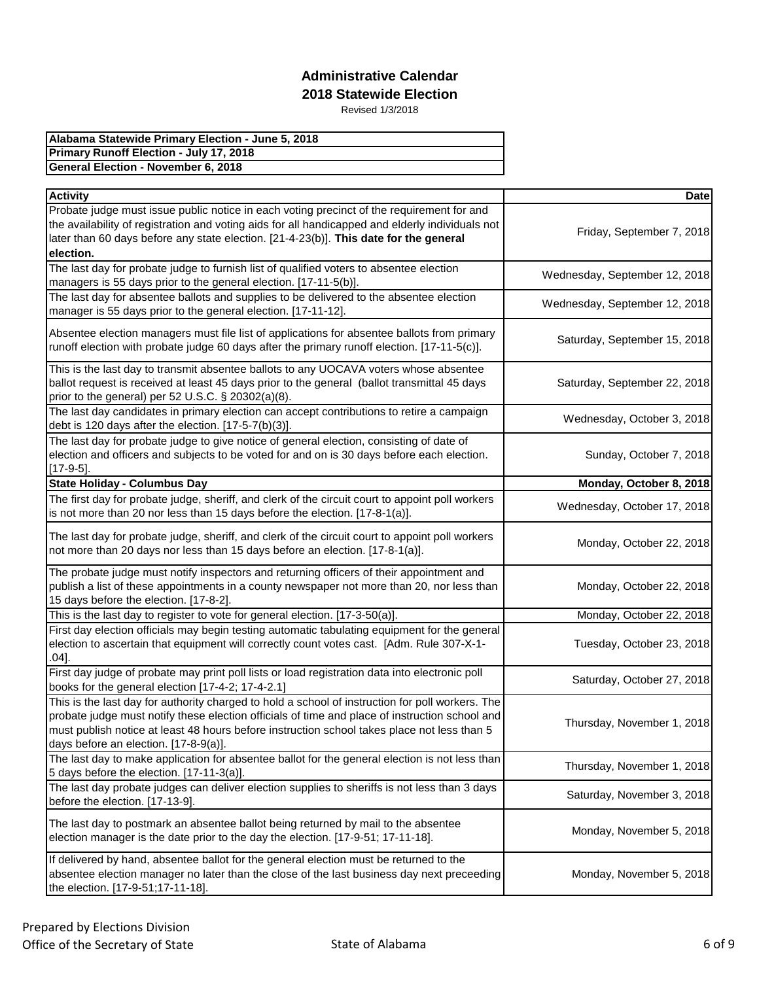| Alabama Statewide Primary Election - June 5, 2018 |
|---------------------------------------------------|
| <b>Primary Runoff Election - July 17, 2018</b>    |
| General Election - November 6, 2018               |

| <b>Activity</b>                                                                                                                                                                                                                                                                                                                            | <b>Date</b>                   |
|--------------------------------------------------------------------------------------------------------------------------------------------------------------------------------------------------------------------------------------------------------------------------------------------------------------------------------------------|-------------------------------|
| Probate judge must issue public notice in each voting precinct of the requirement for and<br>the availability of registration and voting aids for all handicapped and elderly individuals not<br>later than 60 days before any state election. [21-4-23(b)]. This date for the general<br>election.                                        | Friday, September 7, 2018     |
| The last day for probate judge to furnish list of qualified voters to absentee election<br>managers is 55 days prior to the general election. [17-11-5(b)].                                                                                                                                                                                | Wednesday, September 12, 2018 |
| The last day for absentee ballots and supplies to be delivered to the absentee election<br>manager is 55 days prior to the general election. [17-11-12].                                                                                                                                                                                   | Wednesday, September 12, 2018 |
| Absentee election managers must file list of applications for absentee ballots from primary<br>runoff election with probate judge 60 days after the primary runoff election. [17-11-5(c)].                                                                                                                                                 | Saturday, September 15, 2018  |
| This is the last day to transmit absentee ballots to any UOCAVA voters whose absentee<br>ballot request is received at least 45 days prior to the general (ballot transmittal 45 days<br>prior to the general) per 52 U.S.C. § 20302(a)(8).                                                                                                | Saturday, September 22, 2018  |
| The last day candidates in primary election can accept contributions to retire a campaign<br>debt is 120 days after the election. [17-5-7(b)(3)].                                                                                                                                                                                          | Wednesday, October 3, 2018    |
| The last day for probate judge to give notice of general election, consisting of date of<br>election and officers and subjects to be voted for and on is 30 days before each election.<br>$[17-9-5]$ .                                                                                                                                     | Sunday, October 7, 2018       |
| <b>State Holiday - Columbus Day</b>                                                                                                                                                                                                                                                                                                        | Monday, October 8, 2018       |
| The first day for probate judge, sheriff, and clerk of the circuit court to appoint poll workers<br>is not more than 20 nor less than 15 days before the election. [17-8-1(a)].                                                                                                                                                            | Wednesday, October 17, 2018   |
| The last day for probate judge, sheriff, and clerk of the circuit court to appoint poll workers<br>not more than 20 days nor less than 15 days before an election. [17-8-1(a)].                                                                                                                                                            | Monday, October 22, 2018      |
| The probate judge must notify inspectors and returning officers of their appointment and<br>publish a list of these appointments in a county newspaper not more than 20, nor less than<br>15 days before the election. [17-8-2].                                                                                                           | Monday, October 22, 2018      |
| This is the last day to register to vote for general election. [17-3-50(a)].                                                                                                                                                                                                                                                               | Monday, October 22, 2018      |
| First day election officials may begin testing automatic tabulating equipment for the general<br>election to ascertain that equipment will correctly count votes cast. [Adm. Rule 307-X-1-<br>$.04]$ .                                                                                                                                     | Tuesday, October 23, 2018     |
| First day judge of probate may print poll lists or load registration data into electronic poll<br>books for the general election [17-4-2; 17-4-2.1]                                                                                                                                                                                        | Saturday, October 27, 2018    |
| This is the last day for authority charged to hold a school of instruction for poll workers. The<br>probate judge must notify these election officials of time and place of instruction school and<br>must publish notice at least 48 hours before instruction school takes place not less than 5<br>days before an election. [17-8-9(a)]. | Thursday, November 1, 2018    |
| The last day to make application for absentee ballot for the general election is not less than<br>5 days before the election. [17-11-3(a)].                                                                                                                                                                                                | Thursday, November 1, 2018    |
| The last day probate judges can deliver election supplies to sheriffs is not less than 3 days<br>before the election. [17-13-9].                                                                                                                                                                                                           | Saturday, November 3, 2018    |
| The last day to postmark an absentee ballot being returned by mail to the absentee<br>election manager is the date prior to the day the election. [17-9-51; 17-11-18].                                                                                                                                                                     | Monday, November 5, 2018      |
| If delivered by hand, absentee ballot for the general election must be returned to the<br>absentee election manager no later than the close of the last business day next preceeding<br>the election. [17-9-51;17-11-18].                                                                                                                  | Monday, November 5, 2018      |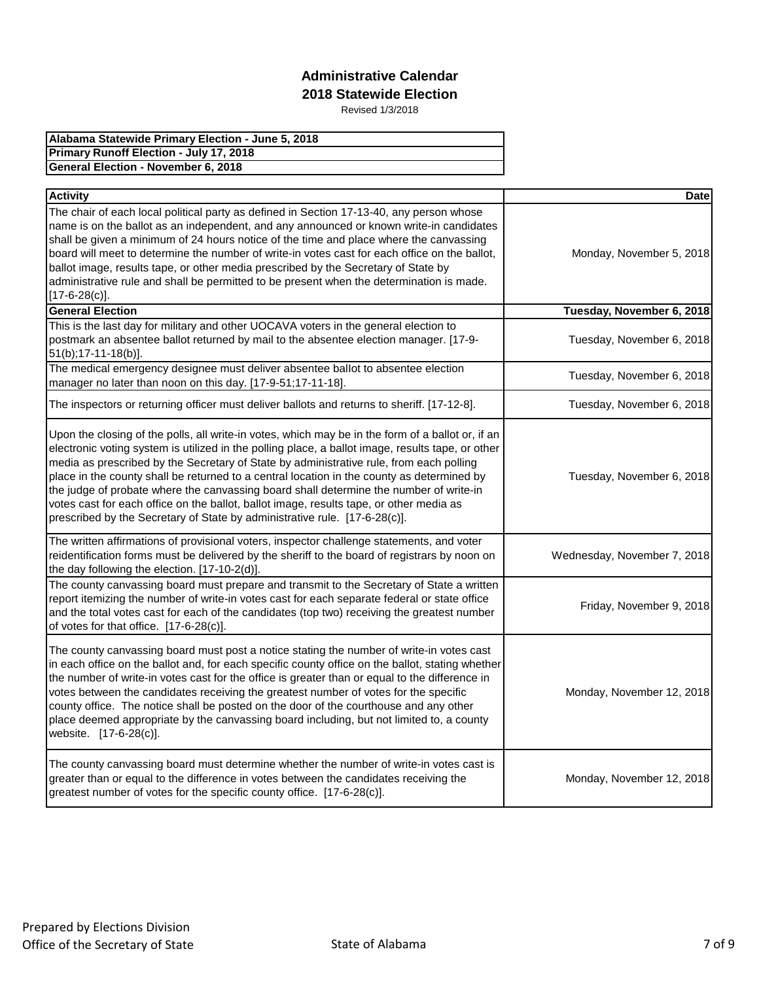| Alabama Statewide Primary Election - June 5, 2018 |
|---------------------------------------------------|
| <b>Primary Runoff Election - July 17, 2018</b>    |
| <b>General Election - November 6, 2018</b>        |

| <b>Activity</b>                                                                                                                                                                                                                                                                                                                                                                                                                                                                                                                                                                                                                                                    | <b>Date</b>                 |
|--------------------------------------------------------------------------------------------------------------------------------------------------------------------------------------------------------------------------------------------------------------------------------------------------------------------------------------------------------------------------------------------------------------------------------------------------------------------------------------------------------------------------------------------------------------------------------------------------------------------------------------------------------------------|-----------------------------|
| The chair of each local political party as defined in Section 17-13-40, any person whose<br>name is on the ballot as an independent, and any announced or known write-in candidates<br>shall be given a minimum of 24 hours notice of the time and place where the canvassing<br>board will meet to determine the number of write-in votes cast for each office on the ballot,<br>ballot image, results tape, or other media prescribed by the Secretary of State by<br>administrative rule and shall be permitted to be present when the determination is made.<br>$[17-6-28(c)].$                                                                                | Monday, November 5, 2018    |
| <b>General Election</b>                                                                                                                                                                                                                                                                                                                                                                                                                                                                                                                                                                                                                                            | Tuesday, November 6, 2018   |
| This is the last day for military and other UOCAVA voters in the general election to<br>postmark an absentee ballot returned by mail to the absentee election manager. [17-9-<br>51(b); 17-11-18(b)].                                                                                                                                                                                                                                                                                                                                                                                                                                                              | Tuesday, November 6, 2018   |
| The medical emergency designee must deliver absentee ballot to absentee election<br>manager no later than noon on this day. [17-9-51;17-11-18].                                                                                                                                                                                                                                                                                                                                                                                                                                                                                                                    | Tuesday, November 6, 2018   |
| The inspectors or returning officer must deliver ballots and returns to sheriff. [17-12-8].                                                                                                                                                                                                                                                                                                                                                                                                                                                                                                                                                                        | Tuesday, November 6, 2018   |
| Upon the closing of the polls, all write-in votes, which may be in the form of a ballot or, if an<br>electronic voting system is utilized in the polling place, a ballot image, results tape, or other<br>media as prescribed by the Secretary of State by administrative rule, from each polling<br>place in the county shall be returned to a central location in the county as determined by<br>the judge of probate where the canvassing board shall determine the number of write-in<br>votes cast for each office on the ballot, ballot image, results tape, or other media as<br>prescribed by the Secretary of State by administrative rule. [17-6-28(c)]. | Tuesday, November 6, 2018   |
| The written affirmations of provisional voters, inspector challenge statements, and voter<br>reidentification forms must be delivered by the sheriff to the board of registrars by noon on<br>the day following the election. [17-10-2(d)].                                                                                                                                                                                                                                                                                                                                                                                                                        | Wednesday, November 7, 2018 |
| The county canvassing board must prepare and transmit to the Secretary of State a written<br>report itemizing the number of write-in votes cast for each separate federal or state office<br>and the total votes cast for each of the candidates (top two) receiving the greatest number<br>of votes for that office. [17-6-28(c)].                                                                                                                                                                                                                                                                                                                                | Friday, November 9, 2018    |
| The county canvassing board must post a notice stating the number of write-in votes cast<br>in each office on the ballot and, for each specific county office on the ballot, stating whether<br>the number of write-in votes cast for the office is greater than or equal to the difference in<br>votes between the candidates receiving the greatest number of votes for the specific<br>county office. The notice shall be posted on the door of the courthouse and any other<br>place deemed appropriate by the canvassing board including, but not limited to, a county<br>website. [17-6-28(c)].                                                              | Monday, November 12, 2018   |
| The county canvassing board must determine whether the number of write-in votes cast is<br>greater than or equal to the difference in votes between the candidates receiving the<br>greatest number of votes for the specific county office. [17-6-28(c)].                                                                                                                                                                                                                                                                                                                                                                                                         | Monday, November 12, 2018   |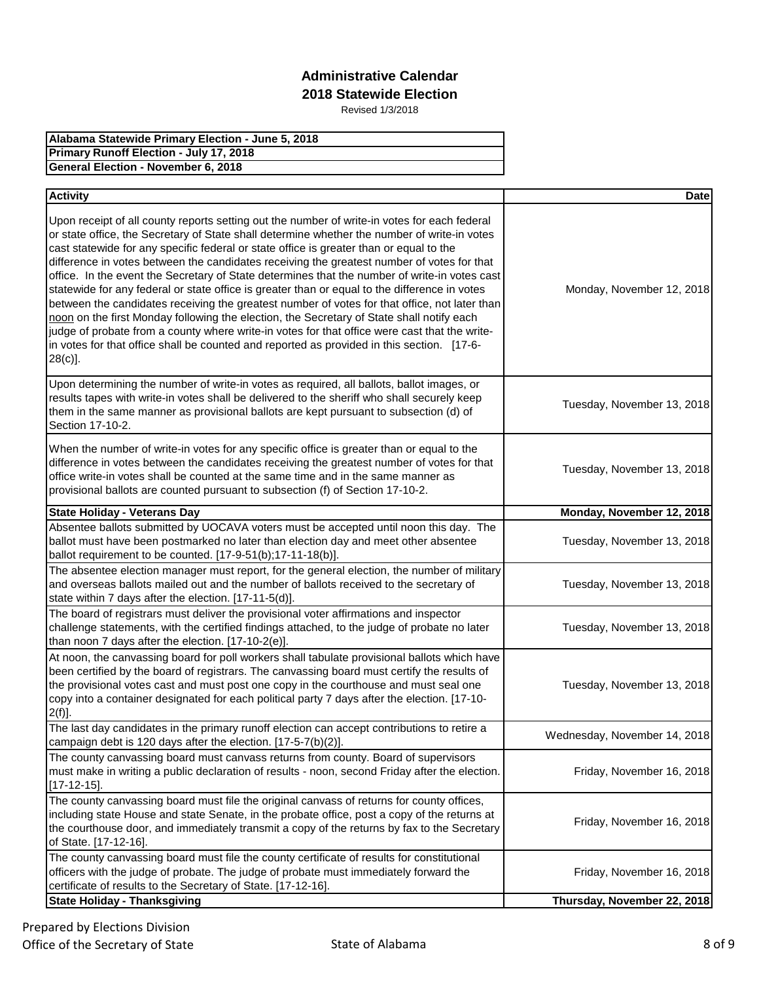| Alabama Statewide Primary Election - June 5, 2018 |
|---------------------------------------------------|
| Primary Runoff Election - July 17, 2018           |
| General Election - November 6, 2018               |

| <b>Activity</b>                                                                                                                                                                                                                                                                                                                                                                                                                                                                                                                                                                                                                                                                                                                                                                                                                                                                                                                                                                                    | <b>Date</b>                  |
|----------------------------------------------------------------------------------------------------------------------------------------------------------------------------------------------------------------------------------------------------------------------------------------------------------------------------------------------------------------------------------------------------------------------------------------------------------------------------------------------------------------------------------------------------------------------------------------------------------------------------------------------------------------------------------------------------------------------------------------------------------------------------------------------------------------------------------------------------------------------------------------------------------------------------------------------------------------------------------------------------|------------------------------|
| Upon receipt of all county reports setting out the number of write-in votes for each federal<br>or state office, the Secretary of State shall determine whether the number of write-in votes<br>cast statewide for any specific federal or state office is greater than or equal to the<br>difference in votes between the candidates receiving the greatest number of votes for that<br>office. In the event the Secretary of State determines that the number of write-in votes cast<br>statewide for any federal or state office is greater than or equal to the difference in votes<br>between the candidates receiving the greatest number of votes for that office, not later than<br>noon on the first Monday following the election, the Secretary of State shall notify each<br>judge of probate from a county where write-in votes for that office were cast that the write-<br>in votes for that office shall be counted and reported as provided in this section. [17-6-<br>$28(c)$ ]. | Monday, November 12, 2018    |
| Upon determining the number of write-in votes as required, all ballots, ballot images, or<br>results tapes with write-in votes shall be delivered to the sheriff who shall securely keep<br>them in the same manner as provisional ballots are kept pursuant to subsection (d) of<br>Section 17-10-2.                                                                                                                                                                                                                                                                                                                                                                                                                                                                                                                                                                                                                                                                                              | Tuesday, November 13, 2018   |
| When the number of write-in votes for any specific office is greater than or equal to the<br>difference in votes between the candidates receiving the greatest number of votes for that<br>office write-in votes shall be counted at the same time and in the same manner as<br>provisional ballots are counted pursuant to subsection (f) of Section 17-10-2.                                                                                                                                                                                                                                                                                                                                                                                                                                                                                                                                                                                                                                     | Tuesday, November 13, 2018   |
| <b>State Holiday - Veterans Day</b>                                                                                                                                                                                                                                                                                                                                                                                                                                                                                                                                                                                                                                                                                                                                                                                                                                                                                                                                                                | Monday, November 12, 2018    |
| Absentee ballots submitted by UOCAVA voters must be accepted until noon this day. The<br>ballot must have been postmarked no later than election day and meet other absentee<br>ballot requirement to be counted. [17-9-51(b);17-11-18(b)].                                                                                                                                                                                                                                                                                                                                                                                                                                                                                                                                                                                                                                                                                                                                                        | Tuesday, November 13, 2018   |
| The absentee election manager must report, for the general election, the number of military<br>and overseas ballots mailed out and the number of ballots received to the secretary of<br>state within 7 days after the election. [17-11-5(d)].                                                                                                                                                                                                                                                                                                                                                                                                                                                                                                                                                                                                                                                                                                                                                     | Tuesday, November 13, 2018   |
| The board of registrars must deliver the provisional voter affirmations and inspector<br>challenge statements, with the certified findings attached, to the judge of probate no later<br>than noon 7 days after the election. [17-10-2(e)].                                                                                                                                                                                                                                                                                                                                                                                                                                                                                                                                                                                                                                                                                                                                                        | Tuesday, November 13, 2018   |
| At noon, the canvassing board for poll workers shall tabulate provisional ballots which have<br>been certified by the board of registrars. The canvassing board must certify the results of<br>the provisional votes cast and must post one copy in the courthouse and must seal one<br>copy into a container designated for each political party 7 days after the election. [17-10-<br>$2(f)$ ].                                                                                                                                                                                                                                                                                                                                                                                                                                                                                                                                                                                                  | Tuesday, November 13, 2018   |
| The last day candidates in the primary runoff election can accept contributions to retire a<br>campaign debt is 120 days after the election. $[17-5-7(b)(2)].$                                                                                                                                                                                                                                                                                                                                                                                                                                                                                                                                                                                                                                                                                                                                                                                                                                     | Wednesday, November 14, 2018 |
| The county canvassing board must canvass returns from county. Board of supervisors<br>must make in writing a public declaration of results - noon, second Friday after the election.<br>$[17 - 12 - 15]$                                                                                                                                                                                                                                                                                                                                                                                                                                                                                                                                                                                                                                                                                                                                                                                           | Friday, November 16, 2018    |
| The county canvassing board must file the original canvass of returns for county offices,<br>including state House and state Senate, in the probate office, post a copy of the returns at<br>the courthouse door, and immediately transmit a copy of the returns by fax to the Secretary<br>of State. [17-12-16].                                                                                                                                                                                                                                                                                                                                                                                                                                                                                                                                                                                                                                                                                  | Friday, November 16, 2018    |
| The county canvassing board must file the county certificate of results for constitutional<br>officers with the judge of probate. The judge of probate must immediately forward the<br>certificate of results to the Secretary of State. [17-12-16].                                                                                                                                                                                                                                                                                                                                                                                                                                                                                                                                                                                                                                                                                                                                               | Friday, November 16, 2018    |
| <b>State Holiday - Thanksgiving</b>                                                                                                                                                                                                                                                                                                                                                                                                                                                                                                                                                                                                                                                                                                                                                                                                                                                                                                                                                                | Thursday, November 22, 2018  |